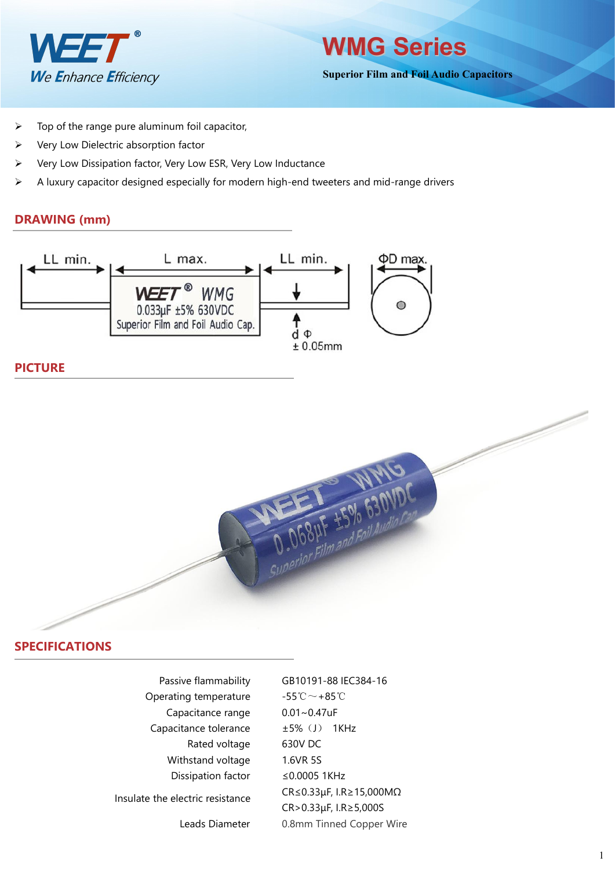

**Superior Film and Foil Audio Capacitors**

- $\triangleright$  Top of the range pure aluminum foil capacitor,
- $\triangleright$  Very Low Dielectric absorption factor
- Very Low Dissipation factor, Very Low ESR, Very Low Inductance
- $\triangleright$  A luxury capacitor designed especially for modern high-end tweeters and mid-range drivers

# **DRAWING (mm)**



# **PICTURE**



# **SPECIFICATIONS**

| Passive flammability             | GB10191-88 IEC384-16                           |
|----------------------------------|------------------------------------------------|
| Operating temperature            | $-55^{\circ}\text{C}\!\sim+85^{\circ}\text{C}$ |
| Capacitance range                | $0.01 - 0.47$ uF                               |
| Capacitance tolerance            | $±5\%$ (J)<br>1KHz                             |
| Rated voltage                    | 630V DC                                        |
| Withstand voltage                | 1.6VR 5S                                       |
| Dissipation factor               | $\leq$ 0.0005 1KHz                             |
| Insulate the electric resistance | $CR \le 0.33 \mu F$ , I.R $\ge 15,000 M\Omega$ |
|                                  | CR>0.33µF, I.R≥5,000S                          |
| Leads Diameter                   | 0.8mm Tinned Copper Wire                       |
|                                  |                                                |